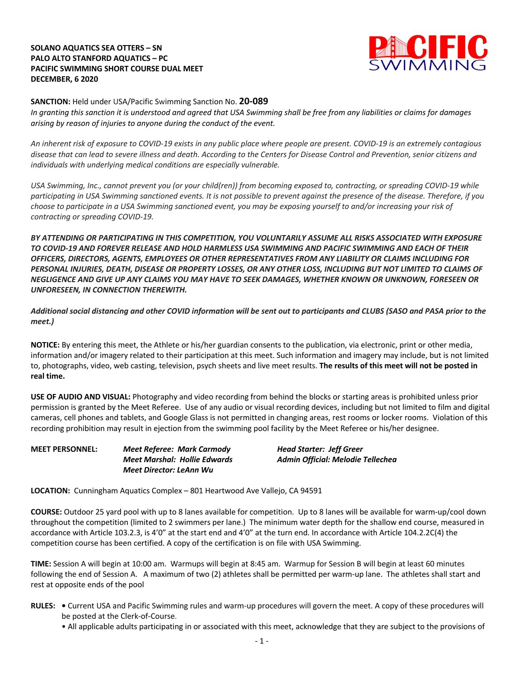## **SOLANO AQUATICS SEA OTTERS – SN PALO ALTO STANFORD AQUATICS – PC PACIFIC SWIMMING SHORT COURSE DUAL MEET DECEMBER, 6 2020**



**SANCTION:** Held under USA/Pacific Swimming Sanction No. **20-089**

*In granting this sanction it is understood and agreed that USA Swimming shall be free from any liabilities or claims for damages arising by reason of injuries to anyone during the conduct of the event.* 

*An inherent risk of exposure to COVID-19 exists in any public place where people are present. COVID-19 is an extremely contagious disease that can lead to severe illness and death. According to the Centers for Disease Control and Prevention, senior citizens and individuals with underlying medical conditions are especially vulnerable.*

*USA Swimming, Inc., cannot prevent you (or your child(ren)) from becoming exposed to, contracting, or spreading COVID-19 while participating in USA Swimming sanctioned events. It is not possible to prevent against the presence of the disease. Therefore, if you choose to participate in a USA Swimming sanctioned event, you may be exposing yourself to and/or increasing your risk of contracting or spreading COVID-19.*

*BY ATTENDING OR PARTICIPATING IN THIS COMPETITION, YOU VOLUNTARILY ASSUME ALL RISKS ASSOCIATED WITH EXPOSURE TO COVID-19 AND FOREVER RELEASE AND HOLD HARMLESS USA SWIMMING AND PACIFIC SWIMMING AND EACH OF THEIR OFFICERS, DIRECTORS, AGENTS, EMPLOYEES OR OTHER REPRESENTATIVES FROM ANY LIABILITY OR CLAIMS INCLUDING FOR PERSONAL INJURIES, DEATH, DISEASE OR PROPERTY LOSSES, OR ANY OTHER LOSS, INCLUDING BUT NOT LIMITED TO CLAIMS OF NEGLIGENCE AND GIVE UP ANY CLAIMS YOU MAY HAVE TO SEEK DAMAGES, WHETHER KNOWN OR UNKNOWN, FORESEEN OR UNFORESEEN, IN CONNECTION THEREWITH.*

*Additional social distancing and other COVID information will be sent out to participants and CLUBS (SASO and PASA prior to the meet.)*

**NOTICE:** By entering this meet, the Athlete or his/her guardian consents to the publication, via electronic, print or other media, information and/or imagery related to their participation at this meet. Such information and imagery may include, but is not limited to, photographs, video, web casting, television, psych sheets and live meet results. **The results of this meet will not be posted in real time.**

**USE OF AUDIO AND VISUAL:** Photography and video recording from behind the blocks or starting areas is prohibited unless prior permission is granted by the Meet Referee. Use of any audio or visual recording devices, including but not limited to film and digital cameras, cell phones and tablets, and Google Glass is not permitted in changing areas, rest rooms or locker rooms. Violation of this recording prohibition may result in ejection from the swimming pool facility by the Meet Referee or his/her designee.

**MEET PERSONNEL:** *Meet Referee: Mark Carmody Head Starter: Jeff Greer Meet Director: LeAnn Wu*

*Meet Marshal: Hollie Edwards Admin Official: Melodie Tellechea*

**LOCATION:** Cunningham Aquatics Complex – 801 Heartwood Ave Vallejo, CA 94591

**COURSE:** Outdoor 25 yard pool with up to 8 lanes available for competition. Up to 8 lanes will be available for warm-up/cool down throughout the competition (limited to 2 swimmers per lane.) The minimum water depth for the shallow end course, measured in accordance with Article 103.2.3, is 4'0" at the start end and 4'0" at the turn end. In accordance with Article 104.2.2C(4) the competition course has been certified. A copy of the certification is on file with USA Swimming.

**TIME:** Session A will begin at 10:00 am. Warmups will begin at 8:45 am. Warmup for Session B will begin at least 60 minutes following the end of Session A. A maximum of two (2) athletes shall be permitted per warm-up lane. The athletes shall start and rest at opposite ends of the pool

- **RULES: •** Current USA and Pacific Swimming rules and warm-up procedures will govern the meet. A copy of these procedures will be posted at the Clerk-of-Course.
	- All applicable adults participating in or associated with this meet, acknowledge that they are subject to the provisions of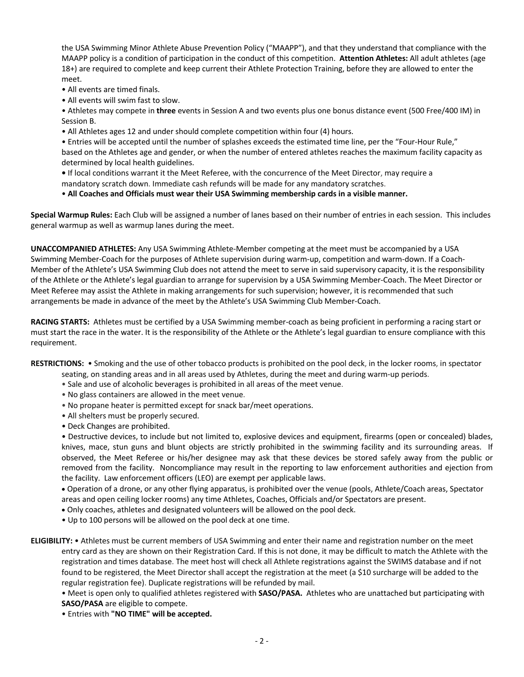the USA Swimming Minor Athlete Abuse Prevention Policy ("MAAPP"), and that they understand that compliance with the MAAPP policy is a condition of participation in the conduct of this competition. **Attention Athletes:** All adult athletes (age 18+) are required to complete and keep current their Athlete Protection Training, before they are allowed to enter the meet.

- All events are timed finals.
- All events will swim fast to slow.

• Athletes may compete in **three** events in Session A and two events plus one bonus distance event (500 Free/400 IM) in Session B.

• All Athletes ages 12 and under should complete competition within four (4) hours.

• Entries will be accepted until the number of splashes exceeds the estimated time line, per the "Four-Hour Rule," based on the Athletes age and gender, or when the number of entered athletes reaches the maximum facility capacity as determined by local health guidelines.

- **•** If local conditions warrant it the Meet Referee, with the concurrence of the Meet Director, may require a
- mandatory scratch down. Immediate cash refunds will be made for any mandatory scratches.

• **All Coaches and Officials must wear their USA Swimming membership cards in a visible manner.** 

**Special Warmup Rules:** Each Club will be assigned a number of lanes based on their number of entries in each session.This includes general warmup as well as warmup lanes during the meet.

**UNACCOMPANIED ATHLETES:** Any USA Swimming Athlete-Member competing at the meet must be accompanied by a USA Swimming Member-Coach for the purposes of Athlete supervision during warm-up, competition and warm-down. If a Coach-Member of the Athlete's USA Swimming Club does not attend the meet to serve in said supervisory capacity, it is the responsibility of the Athlete or the Athlete's legal guardian to arrange for supervision by a USA Swimming Member-Coach. The Meet Director or Meet Referee may assist the Athlete in making arrangements for such supervision; however, it is recommended that such arrangements be made in advance of the meet by the Athlete's USA Swimming Club Member-Coach.

**RACING STARTS:** Athletes must be certified by a USA Swimming member-coach as being proficient in performing a racing start or must start the race in the water. It is the responsibility of the Athlete or the Athlete's legal guardian to ensure compliance with this requirement.

**RESTRICTIONS:** • Smoking and the use of other tobacco products is prohibited on the pool deck, in the locker rooms, in spectator

- seating, on standing areas and in all areas used by Athletes, during the meet and during warm-up periods.
- Sale and use of alcoholic beverages is prohibited in all areas of the meet venue.
- No glass containers are allowed in the meet venue.
- No propane heater is permitted except for snack bar/meet operations.
- All shelters must be properly secured.
- Deck Changes are prohibited.

• Destructive devices, to include but not limited to, explosive devices and equipment, firearms (open or concealed) blades, knives, mace, stun guns and blunt objects are strictly prohibited in the swimming facility and its surrounding areas. If observed, the Meet Referee or his/her designee may ask that these devices be stored safely away from the public or removed from the facility. Noncompliance may result in the reporting to law enforcement authorities and ejection from the facility. Law enforcement officers (LEO) are exempt per applicable laws.

• Operation of a drone, or any other flying apparatus, is prohibited over the venue (pools, Athlete/Coach areas, Spectator areas and open ceiling locker rooms) any time Athletes, Coaches, Officials and/or Spectators are present.

- Only coaches, athletes and designated volunteers will be allowed on the pool deck.
- Up to 100 persons will be allowed on the pool deck at one time.
- **ELIGIBILITY:** Athletes must be current members of USA Swimming and enter their name and registration number on the meet entry card as they are shown on their Registration Card. If this is not done, it may be difficult to match the Athlete with the registration and times database. The meet host will check all Athlete registrations against the SWIMS database and if not found to be registered, the Meet Director shall accept the registration at the meet (a \$10 surcharge will be added to the regular registration fee). Duplicate registrations will be refunded by mail.

• Meet is open only to qualified athletes registered with **SASO/PASA.** Athletes who are unattached but participating with **SASO/PASA** are eligible to compete.

• Entries with **"NO TIME" will be accepted.**